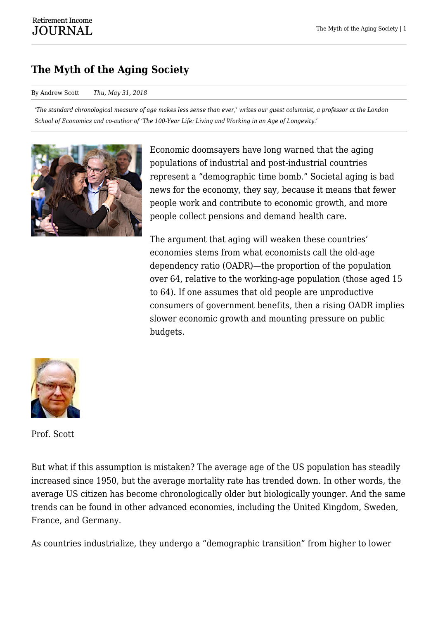## **The Myth of the Aging Society**

## By Andrew Scott *Thu, May 31, 2018*

*'The standard chronological measure of age makes less sense than ever,' writes our guest columnist, a professor at the London School of Economics and co-author of 'The 100-Year Life: Living and Working in an Age of Longevity.'*



Economic doomsayers have long warned that the aging populations of industrial and post-industrial countries represent a "demographic time bomb." Societal aging is bad news for the economy, they say, because it means that fewer people work and contribute to economic growth, and more people collect pensions and demand health care.

The argument that aging will weaken these countries' economies stems from what economists call the old-age dependency ratio (OADR)—the proportion of the population over 64, relative to the working-age population (those aged 15 to 64). If one assumes that old people are unproductive consumers of government benefits, then a rising OADR implies slower economic growth and mounting pressure on public budgets.



Prof. Scott

But what if this assumption is mistaken? The average age of the US population has steadily increased since 1950, but the average mortality rate has trended down. In other words, the average US citizen has become chronologically older but biologically younger. And the same trends can be found in other advanced economies, including the United Kingdom, Sweden, France, and Germany.

As countries industrialize, they undergo a "demographic transition" from higher to lower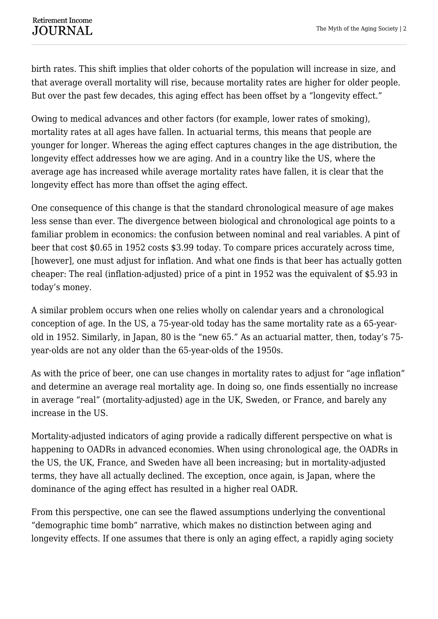birth rates. This shift implies that older cohorts of the population will increase in size, and that average overall mortality will rise, because mortality rates are higher for older people. But over the past few decades, this aging effect has been offset by a "longevity effect."

Owing to medical advances and other factors (for example, lower rates of smoking), mortality rates at all ages have fallen. In actuarial terms, this means that people are younger for longer. Whereas the aging effect captures changes in the age distribution, the longevity effect addresses how we are aging. And in a country like the US, where the average age has increased while average mortality rates have fallen, it is clear that the longevity effect has more than offset the aging effect.

One consequence of this change is that the standard chronological measure of age makes less sense than ever. The divergence between biological and chronological age points to a familiar problem in economics: the confusion between nominal and real variables. A pint of beer that cost \$0.65 in 1952 costs \$3.99 today. To compare prices accurately across time, [however], one must adjust for inflation. And what one finds is that beer has actually gotten cheaper: The real (inflation-adjusted) price of a pint in 1952 was the equivalent of \$5.93 in today's money.

A similar problem occurs when one relies wholly on calendar years and a chronological conception of age. In the US, a 75-year-old today has the same mortality rate as a 65-yearold in 1952. Similarly, in Japan, 80 is the "new 65." As an actuarial matter, then, today's 75 year-olds are not any older than the 65-year-olds of the 1950s.

As with the price of beer, one can use changes in mortality rates to adjust for "age inflation" and determine an average real mortality age. In doing so, one finds essentially no increase in average "real" (mortality-adjusted) age in the UK, Sweden, or France, and barely any increase in the US.

Mortality-adjusted indicators of aging provide a radically different perspective on what is happening to OADRs in advanced economies. When using chronological age, the OADRs in the US, the UK, France, and Sweden have all been increasing; but in mortality-adjusted terms, they have all actually declined. The exception, once again, is Japan, where the dominance of the aging effect has resulted in a higher real OADR.

From this perspective, one can see the flawed assumptions underlying the conventional "demographic time bomb" narrative, which makes no distinction between aging and longevity effects. If one assumes that there is only an aging effect, a rapidly aging society